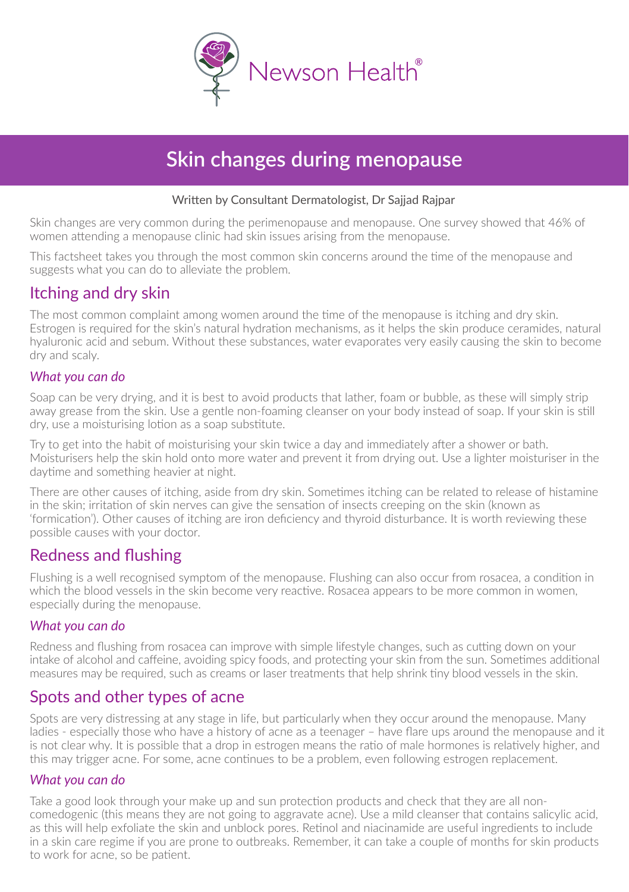

# **Skin changes during menopause**

#### Written by Consultant Dermatologist, Dr Sajjad Rajpar

Skin changes are very common during the perimenopause and menopause. One survey showed that 46% of women attending a menopause clinic had skin issues arising from the menopause.

This factsheet takes you through the most common skin concerns around the time of the menopause and suggests what you can do to alleviate the problem.

### Itching and dry skin

The most common complaint among women around the time of the menopause is itching and dry skin. Estrogen is required for the skin's natural hydration mechanisms, as it helps the skin produce ceramides, natural hyaluronic acid and sebum. Without these substances, water evaporates very easily causing the skin to become dry and scaly.

#### *What you can do*

Soap can be very drying, and it is best to avoid products that lather, foam or bubble, as these will simply strip away grease from the skin. Use a gentle non-foaming cleanser on your body instead of soap. If your skin is still dry, use a moisturising lotion as a soap substitute.

Try to get into the habit of moisturising your skin twice a day and immediately after a shower or bath. Moisturisers help the skin hold onto more water and prevent it from drying out. Use a lighter moisturiser in the daytime and something heavier at night.

There are other causes of itching, aside from dry skin. Sometimes itching can be related to release of histamine in the skin; irritation of skin nerves can give the sensation of insects creeping on the skin (known as 'formication'). Other causes of itching are iron deficiency and thyroid disturbance. It is worth reviewing these possible causes with your doctor.

### Redness and flushing

Flushing is a well recognised symptom of the menopause. Flushing can also occur from rosacea, a condition in which the blood vessels in the skin become very reactive. Rosacea appears to be more common in women, especially during the menopause.

#### *What you can do*

Redness and flushing from rosacea can improve with simple lifestyle changes, such as cutting down on your intake of alcohol and caffeine, avoiding spicy foods, and protecting your skin from the sun. Sometimes additional measures may be required, such as creams or laser treatments that help shrink tiny blood vessels in the skin.

### Spots and other types of acne

Spots are very distressing at any stage in life, but particularly when they occur around the menopause. Many ladies especially those who have a history of acne as a teenager – have flare ups around the menopause and it is not clear why. It is possible that a drop in estrogen means the ratio of male hormones is relatively higher, and this may trigger acne. For some, acne continues to be a problem, even following estrogen replacement.

#### *What you can do*

Take a good look through your make up and sun protection products and check that they are all noncomedogenic (this means they are not going to aggravate acne). Use a mild cleanser that contains salicylic acid, as this will help exfoliate the skin and unblock pores. Retinol and niacinamide are useful ingredients to include in a skin care regime if you are prone to outbreaks. Remember, it can take a couple of months for skin products to work for acne, so be patient.